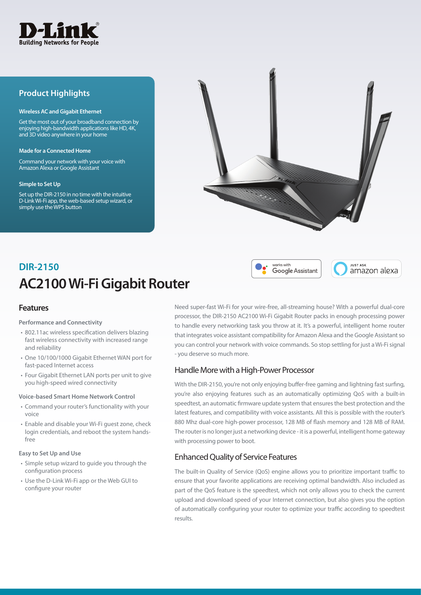

## **Product Highlights**

#### **Wireless AC and Gigabit Ethernet**

Get the most out of your broadband connection by enjoying high-bandwidth applications like HD, 4K, and 3D video anywhere in your home

#### **Made for a Connected Home**

Command your network with your voice with Amazon Alexa or Google Assistant

#### **Simple to Set Up**

Set up the DIR-2150 in no time with the intuitive D-Link Wi-Fi app, the web-based setup wizard, or simply use the WPS button



# **AC2100 Wi-Fi Gigabit Router DIR-2150**

## **Features**

#### **Performance and Connectivity**

- 802.11ac wireless specification delivers blazing fast wireless connectivity with increased range and reliability
- One 10/100/1000 Gigabit Ethernet WAN port for fast-paced Internet access
- Four Gigabit Ethernet LAN ports per unit to give you high-speed wired connectivity

#### **Voice-based Smart Home Network Control**

- Command your router's functionality with your voice
- Enable and disable your Wi-Fi guest zone, check login credentials, and reboot the system handsfree

#### **Easy to Set Up and Use**

- Simple setup wizard to guide you through the configuration process
- Use the D-Link Wi-Fi app or the Web GUI to configure your router

Need super-fast Wi-Fi for your wire-free, all-streaming house? With a powerful dual-core processor, the DIR-2150 AC2100 Wi-Fi Gigabit Router packs in enough processing power to handle every networking task you throw at it. It's a powerful, intelligent home router that integrates voice assistant compatibility for Amazon Alexa and the Google Assistant so you can control your network with voice commands. So stop settling for just a Wi-Fi signal - you deserve so much more.

works with

Google Assistant

**ILIST ASK** 

amazon alexa

## Handle More with a High-Power Processor

With the DIR-2150, you're not only enjoying buffer-free gaming and lightning fast surfing, you're also enjoying features such as an automatically optimizing QoS with a built-in speedtest, an automatic firmware update system that ensures the best protection and the latest features, and compatibility with voice assistants. All this is possible with the router's 880 Mhz dual-core high-power processor, 128 MB of flash memory and 128 MB of RAM. The router is no longer just a networking device - it is a powerful, intelligent home gateway with processing power to boot.

## Enhanced Quality of Service Features

The built-in Quality of Service (QoS) engine allows you to prioritize important traffic to ensure that your favorite applications are receiving optimal bandwidth. Also included as part of the QoS feature is the speedtest, which not only allows you to check the current upload and download speed of your Internet connection, but also gives you the option of automatically configuring your router to optimize your traffic according to speedtest results.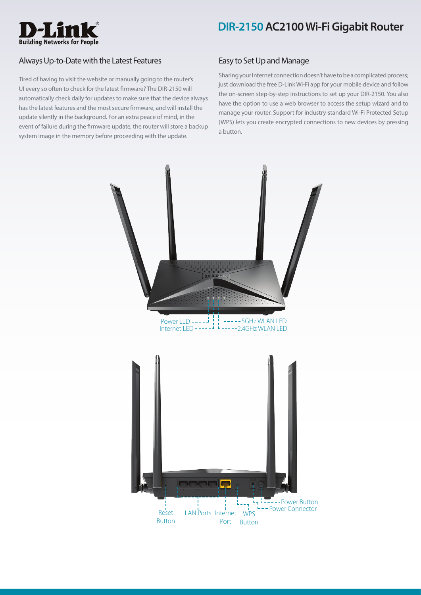

## Always Up-to-Date with the Latest Features

Tired of having to visit the website or manually going to the router's UI every so often to check for the latest firmware? The DIR-2150 will automatically check daily for updates to make sure that the device always has the latest features and the most secure firmware, and will install the update silently in the background. For an extra peace of mind, in the event of failure during the firmware update, the router will store a backup system image in the memory before proceeding with the update.

## Easy to Set Up and Manage

Sharing your Internet connection doesn't have to be a complicated process; just download the free D-Link Wi-Fi app for your mobile device and follow the on-screen step-by-step instructions to set up your DIR-2150. You also have the option to use a web browser to access the setup wizard and to manage your router. Support for industry-standard Wi-Fi Protected Setup (WPS) lets you create encrypted connections to new devices by pressing a button.